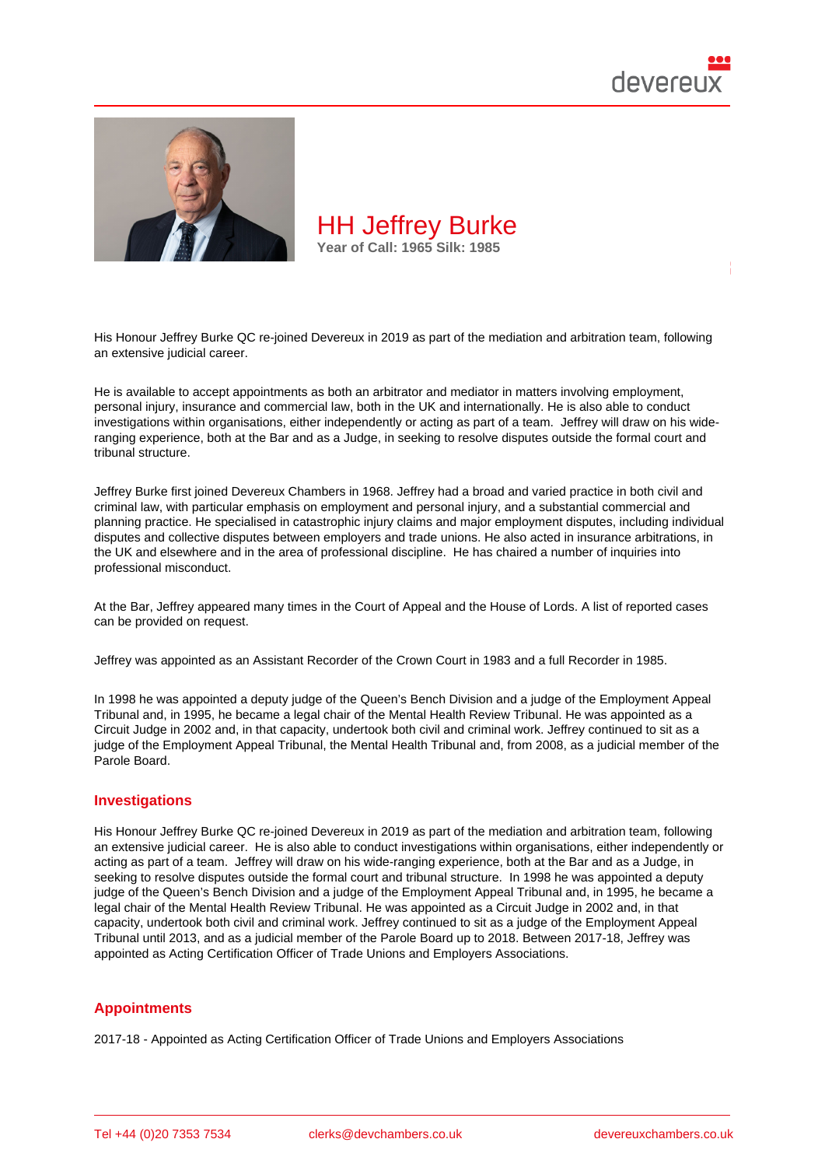

His Honour Jeffrey Burke QC re-joined Devereux in 2019 as part of the mediation and arbitration team, following an extensive judicial career.

He is available to accept appointments as both an arbitrator and mediator in matters involving employment, personal injury, insurance and commercial law, both in the UK and internationally. He is also able to conduct investigations within organisations, either independently or acting as part of a team. Jeffrey will draw on his wideranging experience, both at the Bar and as a Judge, in seeking to resolve disputes outside the formal court and tribunal structure.

Jeffrey Burke first joined Devereux Chambers in 1968. Jeffrey had a broad and varied practice in both civil and criminal law, with particular emphasis on employment and personal injury, and a substantial commercial and planning practice. He specialised in catastrophic injury claims and major employment disputes, including individual disputes and collective disputes between employers and trade unions. He also acted in insurance arbitrations, in the UK and elsewhere and in the area of professional discipline. He has chaired a number of inquiries into professional misconduct.

At the Bar, Jeffrey appeared many times in the Court of Appeal and the House of Lords. A list of reported cases can be provided on request.

Jeffrey was appointed as an Assistant Recorder of the Crown Court in 1983 and a full Recorder in 1985.

In 1998 he was appointed a deputy judge of the Queen's Bench Division and a judge of the Employment Appeal Tribunal and, in 1995, he became a legal chair of the Mental Health Review Tribunal. He was appointed as a Circuit Judge in 2002 and, in that capacity, undertook both civil and criminal work. Jeffrey continued to sit as a judge of the Employment Appeal Tribunal, the Mental Health Tribunal and, from 2008, as a judicial member of the Parole Board.

## Investigations

His Honour Jeffrey Burke QC re-joined Devereux in 2019 as part of the mediation and arbitration team, following an extensive judicial career. He is also able to conduct investigations within organisations, either independently or acting as part of a team. Jeffrey will draw on his wide-ranging experience, both at the Bar and as a Judge, in seeking to resolve disputes outside the formal court and tribunal structure. In 1998 he was appointed a deputy judge of the Queen's Bench Division and a judge of the Employment Appeal Tribunal and, in 1995, he became a legal chair of the Mental Health Review Tribunal. He was appointed as a Circuit Judge in 2002 and, in that capacity, undertook both civil and criminal work. Jeffrey continued to sit as a judge of the Employment Appeal Tribunal until 2013, and as a judicial member of the Parole Board up to 2018. Between 2017-18, Jeffrey was appointed as Acting Certification Officer of Trade Unions and Employers Associations.

## **Appointments**

2017-18 - Appointed as Acting Certification Officer of Trade Unions and Employers Associations